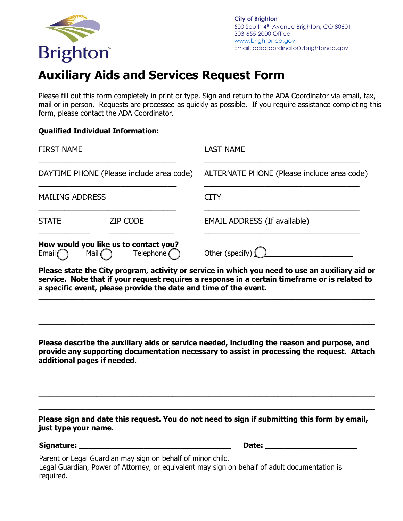

## **Auxiliary Aids and Services Request Form**

Please fill out this form completely in print or type. Sign and return to the ADA Coordinator via email, fax, mail or in person. Requests are processed as quickly as possible. If you require assistance completing this form, please contact the ADA Coordinator.

## **Qualified Individual Information:**

| <b>FIRST NAME</b>                                                                       |                 | <b>LAST NAME</b>                           |
|-----------------------------------------------------------------------------------------|-----------------|--------------------------------------------|
| DAYTIME PHONE (Please include area code)                                                |                 | ALTERNATE PHONE (Please include area code) |
| <b>MAILING ADDRESS</b>                                                                  |                 | <b>CITY</b>                                |
| <b>STATE</b>                                                                            | <b>ZIP CODE</b> | <b>EMAIL ADDRESS (If available)</b>        |
| How would you like us to contact you?<br>Telephone $\bigcap$<br>Email<br>Mail $\bigcap$ |                 | Other (specify) $\bigcup$                  |

**Please state the City program, activity or service in which you need to use an auxiliary aid or service. Note that if your request requires a response in a certain timeframe or is related to a specific event, please provide the date and time of the event.**

**\_\_\_\_\_\_\_\_\_\_\_\_\_\_\_\_\_\_\_\_\_\_\_\_\_\_\_\_\_\_\_\_\_\_\_\_\_\_\_\_\_\_\_\_\_\_\_\_\_\_\_\_\_\_\_\_\_\_\_\_\_\_\_\_\_\_\_\_\_\_\_\_\_\_\_\_\_\_\_\_\_\_\_\_\_\_\_\_\_\_\_\_\_ \_\_\_\_\_\_\_\_\_\_\_\_\_\_\_\_\_\_\_\_\_\_\_\_\_\_\_\_\_\_\_\_\_\_\_\_\_\_\_\_\_\_\_\_\_\_\_\_\_\_\_\_\_\_\_\_\_\_\_\_\_\_\_\_\_\_\_\_\_\_\_\_\_\_\_\_\_\_\_\_\_\_\_\_\_\_\_\_\_\_\_\_\_ \_\_\_\_\_\_\_\_\_\_\_\_\_\_\_\_\_\_\_\_\_\_\_\_\_\_\_\_\_\_\_\_\_\_\_\_\_\_\_\_\_\_\_\_\_\_\_\_\_\_\_\_\_\_\_\_\_\_\_\_\_\_\_\_\_\_\_\_\_\_\_\_\_\_\_\_\_\_\_\_\_\_\_\_\_\_\_\_\_\_\_\_\_**

**Please describe the auxiliary aids or service needed, including the reason and purpose, and provide any supporting documentation necessary to assist in processing the request. Attach additional pages if needed.**

**\_\_\_\_\_\_\_\_\_\_\_\_\_\_\_\_\_\_\_\_\_\_\_\_\_\_\_\_\_\_\_\_\_\_\_\_\_\_\_\_\_\_\_\_\_\_\_\_\_\_\_\_\_\_\_\_\_\_\_\_\_\_\_\_\_\_\_\_\_\_\_\_\_\_\_\_\_\_\_\_\_\_\_\_\_\_\_\_\_\_\_\_\_ \_\_\_\_\_\_\_\_\_\_\_\_\_\_\_\_\_\_\_\_\_\_\_\_\_\_\_\_\_\_\_\_\_\_\_\_\_\_\_\_\_\_\_\_\_\_\_\_\_\_\_\_\_\_\_\_\_\_\_\_\_\_\_\_\_\_\_\_\_\_\_\_\_\_\_\_\_\_\_\_\_\_\_\_\_\_\_\_\_\_\_\_\_ \_\_\_\_\_\_\_\_\_\_\_\_\_\_\_\_\_\_\_\_\_\_\_\_\_\_\_\_\_\_\_\_\_\_\_\_\_\_\_\_\_\_\_\_\_\_\_\_\_\_\_\_\_\_\_\_\_\_\_\_\_\_\_\_\_\_\_\_\_\_\_\_\_\_\_\_\_\_\_\_\_\_\_\_\_\_\_\_\_\_\_\_\_ \_\_\_\_\_\_\_\_\_\_\_\_\_\_\_\_\_\_\_\_\_\_\_\_\_\_\_\_\_\_\_\_\_\_\_\_\_\_\_\_\_\_\_\_\_\_\_\_\_\_\_\_\_\_\_\_\_\_\_\_\_\_\_\_\_\_\_\_\_\_\_\_\_\_\_\_\_\_\_\_\_\_\_\_\_\_\_\_\_\_\_\_\_** 

**Please sign and date this request. You do not need to sign if submitting this form by email, just type your name.** 

**Signature: \_\_\_\_\_\_\_\_\_\_\_\_\_\_\_\_\_\_\_\_\_\_\_\_\_\_\_\_\_\_\_\_\_ Date: \_\_\_\_\_\_\_\_\_\_\_\_\_\_\_\_\_\_\_\_**

Parent or Legal Guardian may sign on behalf of minor child.

Legal Guardian, Power of Attorney, or equivalent may sign on behalf of adult documentation is required.